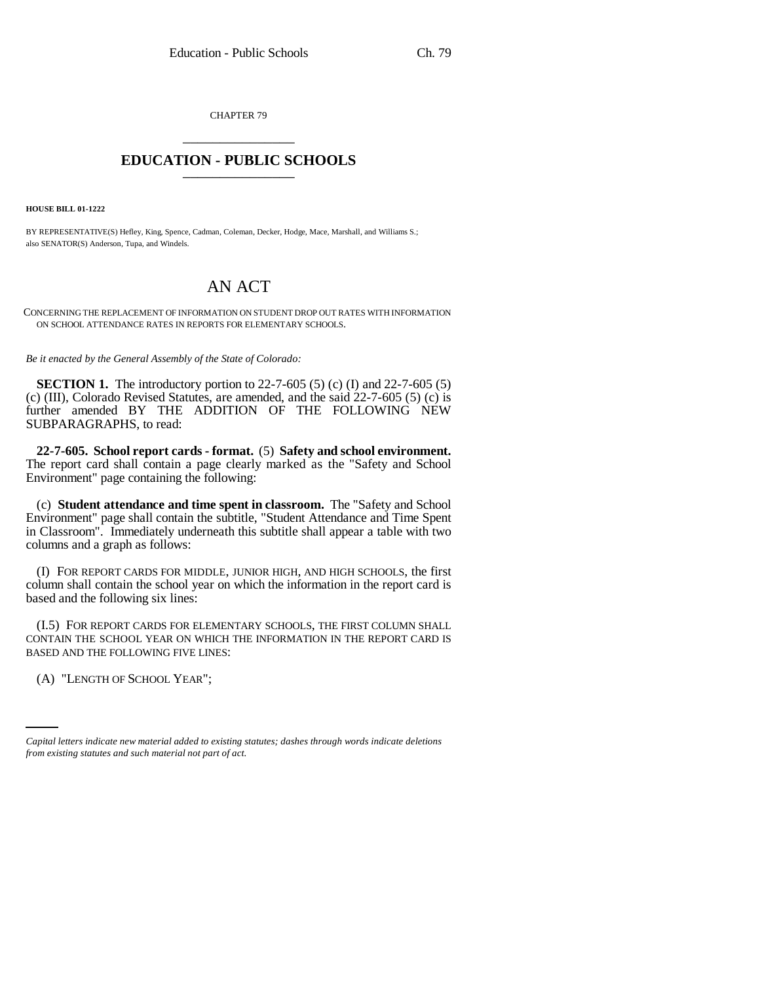CHAPTER 79 \_\_\_\_\_\_\_\_\_\_\_\_\_\_\_

## **EDUCATION - PUBLIC SCHOOLS** \_\_\_\_\_\_\_\_\_\_\_\_\_\_\_

**HOUSE BILL 01-1222**

BY REPRESENTATIVE(S) Hefley, King, Spence, Cadman, Coleman, Decker, Hodge, Mace, Marshall, and Williams S.; also SENATOR(S) Anderson, Tupa, and Windels.

## AN ACT

CONCERNING THE REPLACEMENT OF INFORMATION ON STUDENT DROP OUT RATES WITH INFORMATION ON SCHOOL ATTENDANCE RATES IN REPORTS FOR ELEMENTARY SCHOOLS.

*Be it enacted by the General Assembly of the State of Colorado:*

**SECTION 1.** The introductory portion to 22-7-605 (5) (c) (I) and 22-7-605 (5) (c) (III), Colorado Revised Statutes, are amended, and the said 22-7-605 (5) (c) is further amended BY THE ADDITION OF THE FOLLOWING NEW SUBPARAGRAPHS, to read:

**22-7-605. School report cards - format.** (5) **Safety and school environment.** The report card shall contain a page clearly marked as the "Safety and School Environment" page containing the following:

(c) **Student attendance and time spent in classroom.** The "Safety and School Environment" page shall contain the subtitle, "Student Attendance and Time Spent in Classroom". Immediately underneath this subtitle shall appear a table with two columns and a graph as follows:

(I) FOR REPORT CARDS FOR MIDDLE, JUNIOR HIGH, AND HIGH SCHOOLS, the first column shall contain the school year on which the information in the report card is based and the following six lines:

(I.5) FOR REPORT CARDS FOR ELEMENTARY SCHOOLS, THE FIRST COLUMN SHALL CONTAIN THE SCHOOL YEAR ON WHICH THE INFORMATION IN THE REPORT CARD IS BASED AND THE FOLLOWING FIVE LINES:

(A) "LENGTH OF SCHOOL YEAR";

*Capital letters indicate new material added to existing statutes; dashes through words indicate deletions from existing statutes and such material not part of act.*